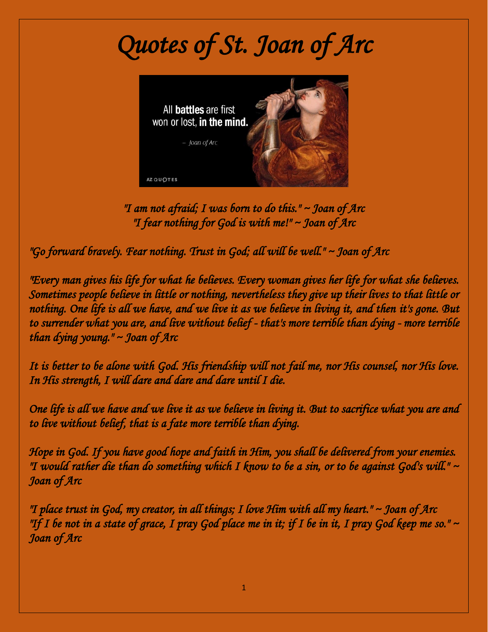## *Quotes of St. Joan of Arc*



*"I am not afraid; I was born to do this." ~ Joan of Arc "I fear nothing for God is with me!" ~ Joan of Arc* 

*"Go forward bravely. Fear nothing. Trust in God; all will be well." ~ Joan of Arc* 

*"Every man gives his life for what he believes. Every woman gives her life for what she believes. Sometimes people believe in little or nothing, nevertheless they give up their lives to that little or nothing. One life is all we have, and we live it as we believe in living it, and then it's gone. But to surrender what you are, and live without belief - that's more terrible than dying - more terrible than dying young." ~ Joan of Arc* 

*It is better to be alone with God. His friendship will not fail me, nor His counsel, nor His love. In His strength, I will dare and dare and dare until I die.* 

*One life is all we have and we live it as we believe in living it. But to sacrifice what you are and to live without belief, that is a fate more terrible than dying.* 

*Hope in God. If you have good hope and faith in Him, you shall be delivered from your enemies. "I would rather die than do something which I know to be a sin, or to be against God's will." ~ Joan of Arc* 

*"I place trust in God, my creator, in all things; I love Him with all my heart." ~ Joan of Arc "If I be not in a state of grace, I pray God place me in it; if I be in it, I pray God keep me so."* ~ *Joan of Arc*